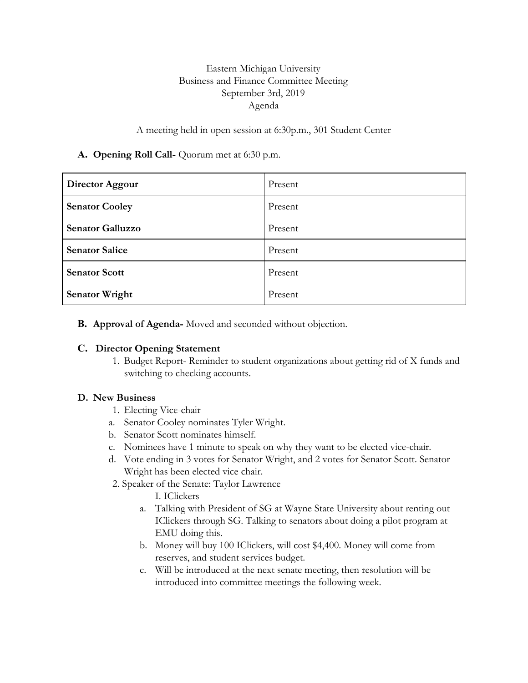## Eastern Michigan University Business and Finance Committee Meeting September 3rd, 2019 Agenda

#### A meeting held in open session at 6:30p.m., 301 Student Center

### **A. Opening Roll Call-** Quorum met at 6:30 p.m.

| Director Aggour         | Present |
|-------------------------|---------|
| <b>Senator Cooley</b>   | Present |
| <b>Senator Galluzzo</b> | Present |
| <b>Senator Salice</b>   | Present |
| <b>Senator Scott</b>    | Present |
| <b>Senator Wright</b>   | Present |

### **B. Approval of Agenda-** Moved and seconded without objection.

#### **C. Director Opening Statement**

1. Budget Report- Reminder to student organizations about getting rid of X funds and switching to checking accounts.

#### **D. New Business**

- 1. Electing Vice-chair
- a. Senator Cooley nominates Tyler Wright.
- b. Senator Scott nominates himself.
- c. Nominees have 1 minute to speak on why they want to be elected vice-chair.
- d. Vote ending in 3 votes for Senator Wright, and 2 votes for Senator Scott. Senator Wright has been elected vice chair.
- 2. Speaker of the Senate: Taylor Lawrence
	- I. IClickers
	- a. Talking with President of SG at Wayne State University about renting out IClickers through SG. Talking to senators about doing a pilot program at EMU doing this.
	- b. Money will buy 100 IClickers, will cost \$4,400. Money will come from reserves, and student services budget.
	- c. Will be introduced at the next senate meeting, then resolution will be introduced into committee meetings the following week.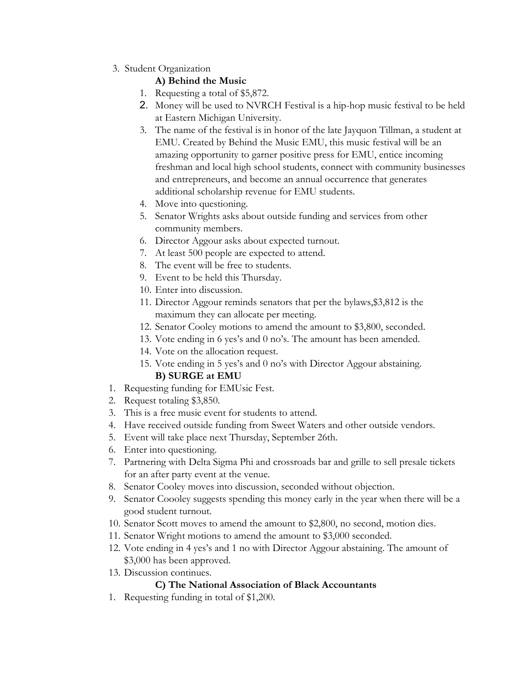3. Student Organization

## **A) Behind the Music**

- 1. Requesting a total of \$5,872.
- 2. Money will be used to NVRCH Festival is a hip-hop music festival to be held at Eastern Michigan University.
- 3. The name of the festival is in honor of the late Jayquon Tillman, a student at EMU. Created by Behind the Music EMU, this music festival will be an amazing opportunity to garner positive press for EMU, entice incoming freshman and local high school students, connect with community businesses and entrepreneurs, and become an annual occurrence that generates additional scholarship revenue for EMU students.
- 4. Move into questioning.
- 5. Senator Wrights asks about outside funding and services from other community members.
- 6. Director Aggour asks about expected turnout.
- 7. At least 500 people are expected to attend.
- 8. The event will be free to students.
- 9. Event to be held this Thursday.
- 10. Enter into discussion.
- 11. Director Aggour reminds senators that per the bylaws,\$3,812 is the maximum they can allocate per meeting.
- 12. Senator Cooley motions to amend the amount to \$3,800, seconded.
- 13. Vote ending in 6 yes's and 0 no's. The amount has been amended.
- 14. Vote on the allocation request.
- 15. Vote ending in 5 yes's and 0 no's with Director Aggour abstaining. **B) SURGE at EMU**
- 1. Requesting funding for EMUsic Fest.
- 2. Request totaling \$3,850.
- 3. This is a free music event for students to attend.
- 4. Have received outside funding from Sweet Waters and other outside vendors.
- 5. Event will take place next Thursday, September 26th.
- 6. Enter into questioning.
- 7. Partnering with Delta Sigma Phi and crossroads bar and grille to sell presale tickets for an after party event at the venue.
- 8. Senator Cooley moves into discussion, seconded without objection.
- 9. Senator Coooley suggests spending this money early in the year when there will be a good student turnout.
- 10. Senator Scott moves to amend the amount to \$2,800, no second, motion dies.
- 11. Senator Wright motions to amend the amount to \$3,000 seconded.
- 12. Vote ending in 4 yes's and 1 no with Director Aggour abstaining. The amount of \$3,000 has been approved.
- 13. Discussion continues.

# **C) The National Association of Black Accountants**

1. Requesting funding in total of \$1,200.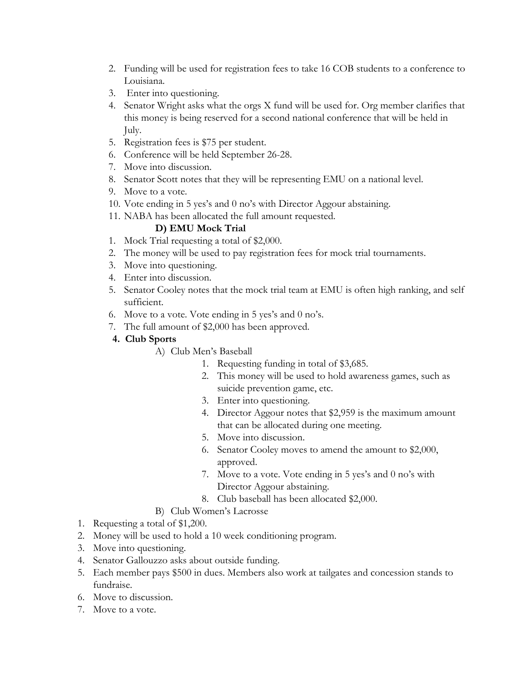- 2. Funding will be used for registration fees to take 16 COB students to a conference to Louisiana.
- 3. Enter into questioning.
- 4. Senator Wright asks what the orgs X fund will be used for. Org member clarifies that this money is being reserved for a second national conference that will be held in July.
- 5. Registration fees is \$75 per student.
- 6. Conference will be held September 26-28.
- 7. Move into discussion.
- 8. Senator Scott notes that they will be representing EMU on a national level.
- 9. Move to a vote.
- 10. Vote ending in 5 yes's and 0 no's with Director Aggour abstaining.
- 11. NABA has been allocated the full amount requested.

# **D) EMU Mock Trial**

- 1. Mock Trial requesting a total of \$2,000.
- 2. The money will be used to pay registration fees for mock trial tournaments.
- 3. Move into questioning.
- 4. Enter into discussion.
- 5. Senator Cooley notes that the mock trial team at EMU is often high ranking, and self sufficient.
- 6. Move to a vote. Vote ending in 5 yes's and 0 no's.
- 7. The full amount of \$2,000 has been approved.

## **4. Club Sports**

- A) Club Men's Baseball
	- 1. Requesting funding in total of \$3,685.
	- 2. This money will be used to hold awareness games, such as suicide prevention game, etc.
	- 3. Enter into questioning.
	- 4. Director Aggour notes that \$2,959 is the maximum amount that can be allocated during one meeting.
	- 5. Move into discussion.
	- 6. Senator Cooley moves to amend the amount to \$2,000, approved.
	- 7. Move to a vote. Vote ending in 5 yes's and 0 no's with Director Aggour abstaining.
	- 8. Club baseball has been allocated \$2,000.
- B) Club Women's Lacrosse
- 1. Requesting a total of \$1,200.
- 2. Money will be used to hold a 10 week conditioning program.
- 3. Move into questioning.
- 4. Senator Gallouzzo asks about outside funding.
- 5. Each member pays \$500 in dues. Members also work at tailgates and concession stands to fundraise.
- 6. Move to discussion.
- 7. Move to a vote.